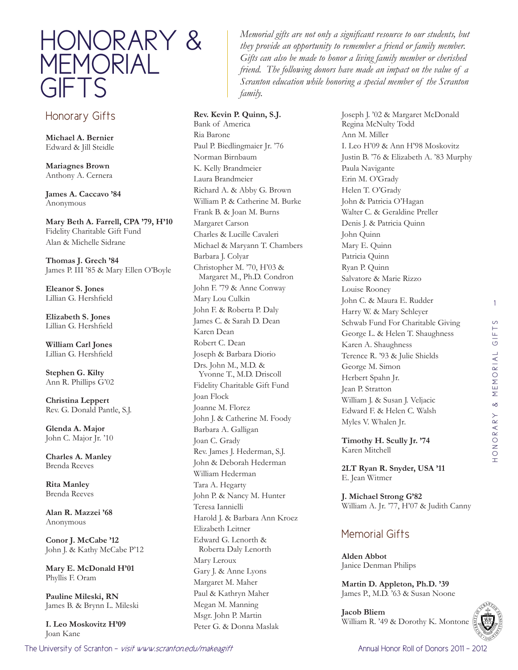

## Honorary Gifts

**Michael A. Bernier**  Edward & Jill Steidle

**Mariagnes Brown**  Anthony A. Cernera

**James A. Caccavo '84** Anonymous

**Mary Beth A. Farrell, CPA '79, H'10** Fidelity Charitable Gift Fund Alan & Michelle Sidrane

**Thomas J. Grech '84** James P. III '85 & Mary Ellen O'Boyle

**Eleanor S. Jones**  Lillian G. Hershfield

**Elizabeth S. Jones**  Lillian G. Hershfield

**William Carl Jones**  Lillian G. Hershfield

**Stephen G. Kilty**  Ann R. Phillips G'02

**Christina Leppert**  Rev. G. Donald Pantle, S.J.

**Glenda A. Major**  John C. Major Jr. '10

**Charles A. Manley**  Brenda Reeves

**Rita Manley**  Brenda Reeves

**Alan R. Mazzei '68** Anonymous

**Conor J. McCabe '12** John J. & Kathy McCabe P'12

**Mary E. McDonald H'01** Phyllis F. Oram

**Pauline Mileski, RN**  James B. & Brynn L. Mileski

**I. Leo Moskovitz H'09** Joan Kane

*Memorial gifts are not only a significant resource to our students, but they provide an opportunity to remember a friend or family member. Gifts can also be made to honor a living family member or cherished friend. The following donors have made an impact on the value of a Scranton education while honoring a special member of the Scranton family.*

**Rev. Kevin P. Quinn, S.J.**  Bank of America Ria Barone Paul P. Biedlingmaier Jr. '76 Norman Birnbaum K. Kelly Brandmeier Laura Brandmeier Richard A. & Abby G. Brown William P. & Catherine M. Burke Frank B. & Joan M. Burns Margaret Carson Charles & Lucille Cavaleri Michael & Maryann T. Chambers Barbara J. Colyar Christopher M. '70, H'03 & Margaret M., Ph.D. Condron John F. '79 & Anne Conway Mary Lou Culkin John F. & Roberta P. Daly James C. & Sarah D. Dean Karen Dean Robert C. Dean Joseph & Barbara Diorio Drs. John M., M.D. & Yvonne T., M.D. Driscoll Fidelity Charitable Gift Fund Joan Flock Joanne M. Florez John J. & Catherine M. Foody Barbara A. Galligan Joan C. Grady Rev. James J. Hederman, S.J. John & Deborah Hederman William Hederman Tara A. Hegarty John P. & Nancy M. Hunter Teresa Iannielli Harold J. & Barbara Ann Kroez Elizabeth Leitner Edward G. Lenorth & Roberta Daly Lenorth Mary Leroux Gary J. & Anne Lyons Margaret M. Maher Paul & Kathryn Maher Megan M. Manning

Msgr. John P. Martin Peter G. & Donna Maslak Joseph J. '02 & Margaret McDonald Regina McNulty Todd Ann M. Miller I. Leo H'09 & Ann H'98 Moskovitz Justin B. '76 & Elizabeth A. '83 Murphy Paula Navigante Erin M. O'Grady Helen T. O'Grady John & Patricia O'Hagan Walter C. & Geraldine Preller Denis J. & Patricia Quinn John Quinn Mary E. Quinn Patricia Quinn Ryan P. Quinn Salvatore & Marie Rizzo Louise Rooney John C. & Maura E. Rudder Harry W. & Mary Schleyer Schwab Fund For Charitable Giving George L. & Helen T. Shaughness Karen A. Shaughness Terence R. '93 & Julie Shields George M. Simon Herbert Spahn Jr. Jean P. Stratton William J. & Susan J. Veljacic Edward F. & Helen C. Walsh Myles V. Whalen Jr.

**Timothy H. Scully Jr. '74** Karen Mitchell

**2LT Ryan R. Snyder, USA '11** E. Jean Witmer

**J. Michael Strong G'82** William A. Jr. '77, H'07 & Judith Canny

## Memorial Gifts

**Alden Abbot** Janice Denman Philips

**Martin D. Appleton, Ph.D. '39** James P., M.D. '63 & Susan Noone

**Jacob Bliem** William R. '49 & Dorothy K. Montone